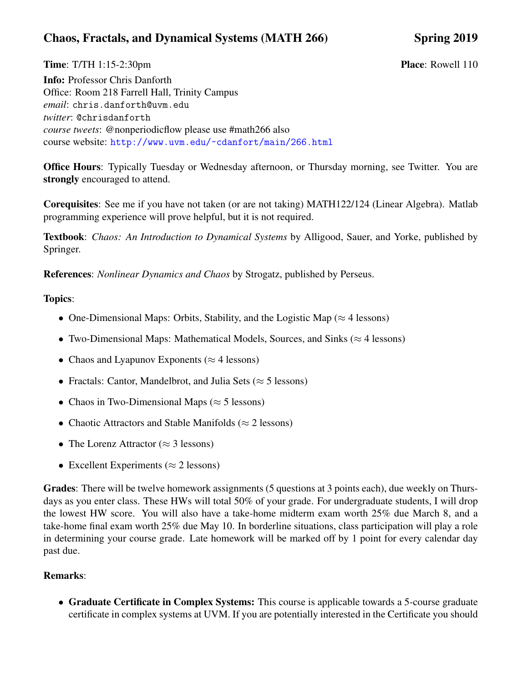## Chaos, Fractals, and Dynamical Systems (MATH 266) Spring 2019

**Time:** T/TH 1:15-2:30pm **Place:** Rowell 110

Info: Professor Chris Danforth Office: Room 218 Farrell Hall, Trinity Campus *email*: chris.danforth@uvm.edu *twitter*: @chrisdanforth *course tweets*: @nonperiodicflow please use #math266 also course website: <http://www.uvm.edu/~cdanfort/main/266.html>

Office Hours: Typically Tuesday or Wednesday afternoon, or Thursday morning, see Twitter. You are strongly encouraged to attend.

Corequisites: See me if you have not taken (or are not taking) MATH122/124 (Linear Algebra). Matlab programming experience will prove helpful, but it is not required.

Textbook: *Chaos: An Introduction to Dynamical Systems* by Alligood, Sauer, and Yorke, published by Springer.

References: *Nonlinear Dynamics and Chaos* by Strogatz, published by Perseus.

## Topics:

- One-Dimensional Maps: Orbits, Stability, and the Logistic Map ( $\approx$  4 lessons)
- Two-Dimensional Maps: Mathematical Models, Sources, and Sinks ( $\approx$  4 lessons)
- Chaos and Lyapunov Exponents ( $\approx$  4 lessons)
- Fractals: Cantor, Mandelbrot, and Julia Sets ( $\approx$  5 lessons)
- Chaos in Two-Dimensional Maps ( $\approx$  5 lessons)
- Chaotic Attractors and Stable Manifolds ( $\approx$  2 lessons)
- The Lorenz Attractor ( $\approx$  3 lessons)
- Excellent Experiments ( $\approx$  2 lessons)

Grades: There will be twelve homework assignments (5 questions at 3 points each), due weekly on Thursdays as you enter class. These HWs will total 50% of your grade. For undergraduate students, I will drop the lowest HW score. You will also have a take-home midterm exam worth 25% due March 8, and a take-home final exam worth 25% due May 10. In borderline situations, class participation will play a role in determining your course grade. Late homework will be marked off by 1 point for every calendar day past due.

## Remarks:

• Graduate Certificate in Complex Systems: This course is applicable towards a 5-course graduate certificate in complex systems at UVM. If you are potentially interested in the Certificate you should